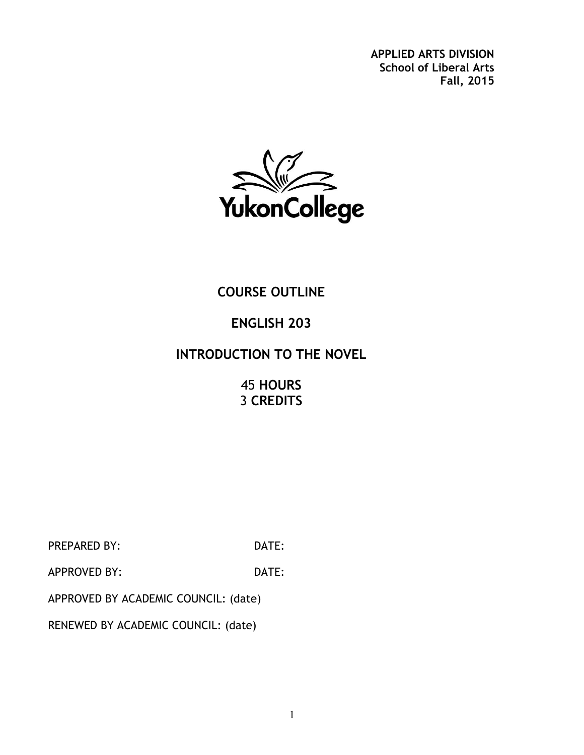**APPLIED ARTS DIVISION School of Liberal Arts Fall, 2015**



## **COURSE OUTLINE**

## **ENGLISH 203**

## **INTRODUCTION TO THE NOVEL**

45 **HOURS** 3 **CREDITS**

PREPARED BY: DATE:

APPROVED BY: DATE:

APPROVED BY ACADEMIC COUNCIL: (date)

RENEWED BY ACADEMIC COUNCIL: (date)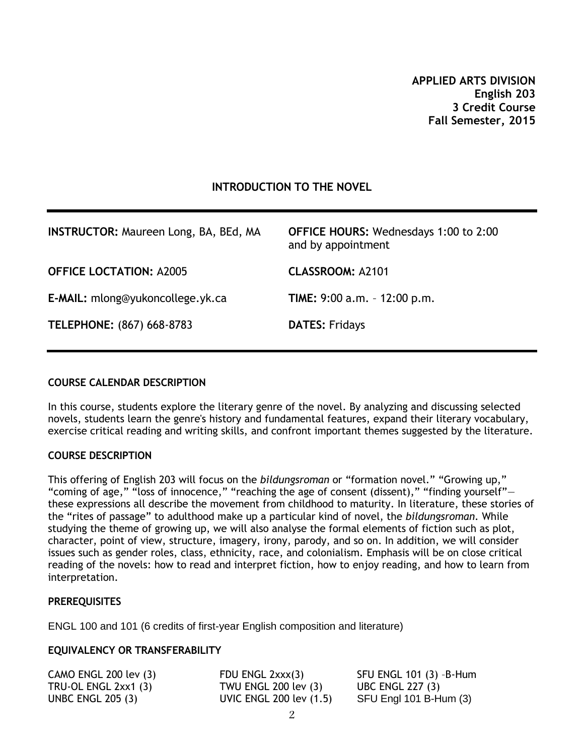#### **INTRODUCTION TO THE NOVEL**

| <b>INSTRUCTOR: Maureen Long, BA, BEd, MA</b> | <b>OFFICE HOURS: Wednesdays 1:00 to 2:00</b><br>and by appointment |
|----------------------------------------------|--------------------------------------------------------------------|
| <b>OFFICE LOCTATION: A2005</b>               | <b>CLASSROOM: A2101</b>                                            |
| E-MAIL: mlong@yukoncollege.yk.ca             | TIME: $9:00$ a.m. $-12:00$ p.m.                                    |
| TELEPHONE: (867) 668-8783                    | <b>DATES: Fridays</b>                                              |

#### **COURSE CALENDAR DESCRIPTION**

In this course, students explore the literary genre of the novel. By analyzing and discussing selected novels, students learn the genre's history and fundamental features, expand their literary vocabulary, exercise critical reading and writing skills, and confront important themes suggested by the literature.

#### **COURSE DESCRIPTION**

This offering of English 203 will focus on the *bildungsroman* or "formation novel." "Growing up," "coming of age," "loss of innocence," "reaching the age of consent (dissent)," "finding yourself" these expressions all describe the movement from childhood to maturity. In literature, these stories of the "rites of passage" to adulthood make up a particular kind of novel, the *bildungsroman*. While studying the theme of growing up, we will also analyse the formal elements of fiction such as plot, character, point of view, structure, imagery, irony, parody, and so on. In addition, we will consider issues such as gender roles, class, ethnicity, race, and colonialism. Emphasis will be on close critical reading of the novels: how to read and interpret fiction, how to enjoy reading, and how to learn from interpretation.

#### **PREREQUISITES**

ENGL 100 and 101 (6 credits of first-year English composition and literature)

#### **EQUIVALENCY OR TRANSFERABILITY**

| $CAMO$ ENGL 200 lev $(3)$ | FDU ENGL 2xxx(3)            | SFU ENGL 101 (3) -B-Hum |
|---------------------------|-----------------------------|-------------------------|
| TRU-OL ENGL $2xx1(3)$     | <b>TWU ENGL 200 lev (3)</b> | <b>UBC ENGL 227 (3)</b> |
| <b>UNBC ENGL 205 (3)</b>  | UVIC ENGL 200 lev (1.5)     | SFU Engl 101 B-Hum (3)  |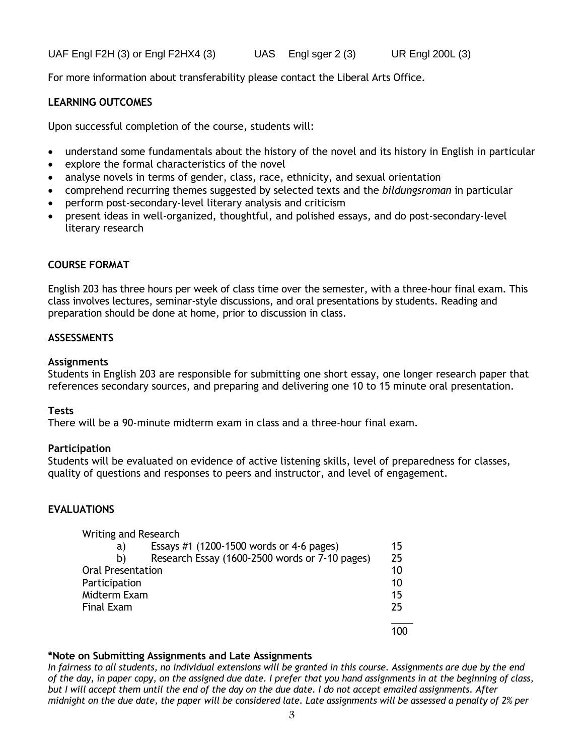UAF Engl F2H (3) or Engl F2HX4 (3) UAS Engl sger 2 (3) UR Engl 200L (3)

For more information about transferability please contact the Liberal Arts Office.

### **LEARNING OUTCOMES**

Upon successful completion of the course, students will:

- understand some fundamentals about the history of the novel and its history in English in particular
- explore the formal characteristics of the novel
- analyse novels in terms of gender, class, race, ethnicity, and sexual orientation
- comprehend recurring themes suggested by selected texts and the *bildungsroman* in particular
- perform post-secondary-level literary analysis and criticism
- present ideas in well-organized, thoughtful, and polished essays, and do post-secondary-level literary research

#### **COURSE FORMAT**

English 203 has three hours per week of class time over the semester, with a three-hour final exam. This class involves lectures, seminar-style discussions, and oral presentations by students. Reading and preparation should be done at home, prior to discussion in class.

#### **ASSESSMENTS**

#### **Assignments**

Students in English 203 are responsible for submitting one short essay, one longer research paper that references secondary sources, and preparing and delivering one 10 to 15 minute oral presentation.

#### **Tests**

There will be a 90-minute midterm exam in class and a three-hour final exam.

#### **Participation**

Students will be evaluated on evidence of active listening skills, level of preparedness for classes, quality of questions and responses to peers and instructor, and level of engagement.

#### **EVALUATIONS**

| Writing and Research     |                                                |    |
|--------------------------|------------------------------------------------|----|
| a)                       | Essays #1 $(1200-1500$ words or 4-6 pages)     | 15 |
| b)                       | Research Essay (1600-2500 words or 7-10 pages) | 25 |
| <b>Oral Presentation</b> |                                                | 10 |
| Participation            |                                                | 10 |
| Midterm Exam             |                                                | 15 |
| <b>Final Exam</b>        |                                                | 25 |
|                          |                                                |    |

#### **\*Note on Submitting Assignments and Late Assignments**

*In fairness to all students, no individual extensions will be granted in this course. Assignments are due by the end of the day, in paper copy, on the assigned due date. I prefer that you hand assignments in at the beginning of class, but I will accept them until the end of the day on the due date. I do not accept emailed assignments. After midnight on the due date, the paper will be considered late. Late assignments will be assessed a penalty of 2% per*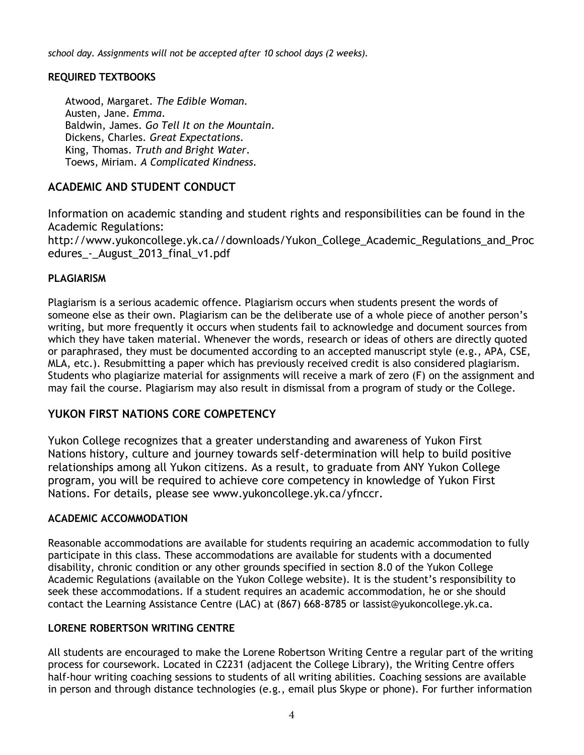*school day. Assignments will not be accepted after 10 school days (2 weeks).*

#### **REQUIRED TEXTBOOKS**

Atwood, Margaret. *The Edible Woman.* Austen, Jane. *Emma*. Baldwin, James. *Go Tell It on the Mountain*. Dickens, Charles. *Great Expectations*. King, Thomas. *Truth and Bright Water*. Toews, Miriam. *A Complicated Kindness.*

## **ACADEMIC AND STUDENT CONDUCT**

Information on academic standing and student rights and responsibilities can be found in the Academic Regulations:

http://www.yukoncollege.yk.ca//downloads/Yukon\_College\_Academic\_Regulations\_and\_Proc edures - August 2013 final v1.pdf

#### **PLAGIARISM**

Plagiarism is a serious academic offence. Plagiarism occurs when students present the words of someone else as their own. Plagiarism can be the deliberate use of a whole piece of another person's writing, but more frequently it occurs when students fail to acknowledge and document sources from which they have taken material. Whenever the words, research or ideas of others are directly quoted or paraphrased, they must be documented according to an accepted manuscript style (e.g., APA, CSE, MLA, etc.). Resubmitting a paper which has previously received credit is also considered plagiarism. Students who plagiarize material for assignments will receive a mark of zero (F) on the assignment and may fail the course. Plagiarism may also result in dismissal from a program of study or the College.

### **YUKON FIRST NATIONS CORE COMPETENCY**

Yukon College recognizes that a greater understanding and awareness of Yukon First Nations history, culture and journey towards self-determination will help to build positive relationships among all Yukon citizens. As a result, to graduate from ANY Yukon College program, you will be required to achieve core competency in knowledge of Yukon First Nations. For details, please see [www.yukoncollege.yk.ca/yfnccr.](http://www.yukoncollege.yk.ca/yfnccr)

#### **ACADEMIC ACCOMMODATION**

Reasonable accommodations are available for students requiring an academic accommodation to fully participate in this class. These accommodations are available for students with a documented disability, chronic condition or any other grounds specified in section 8.0 of the Yukon College Academic Regulations (available on the Yukon College website). It is the student's responsibility to seek these accommodations. If a student requires an academic accommodation, he or she should contact the Learning Assistance Centre (LAC) at (867) 668-8785 or lassist@yukoncollege.yk.ca.

#### **LORENE ROBERTSON WRITING CENTRE**

All students are encouraged to make the Lorene Robertson Writing Centre a regular part of the writing process for coursework. Located in C2231 (adjacent the College Library), the Writing Centre offers half-hour writing coaching sessions to students of all writing abilities. Coaching sessions are available in person and through distance technologies (e.g., email plus Skype or phone). For further information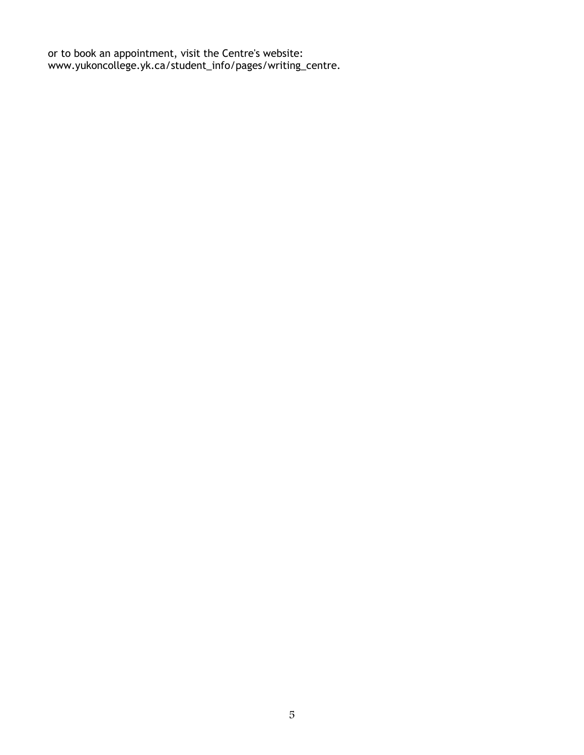or to book an appointment, visit the Centre's website: www.yukoncollege.yk.ca/student\_info/pages/writing\_centre.